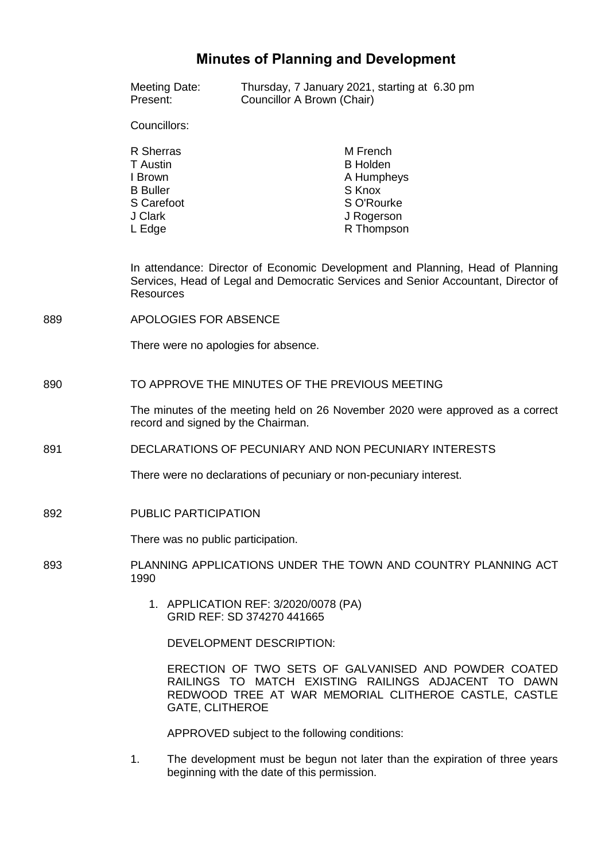# **Minutes of Planning and Development**

|     | Meeting Date:<br>Present:                                                                                            | Thursday, 7 January 2021, starting at 6.30 pm<br>Councillor A Brown (Chair)                                                                                           |  |
|-----|----------------------------------------------------------------------------------------------------------------------|-----------------------------------------------------------------------------------------------------------------------------------------------------------------------|--|
|     | Councillors:                                                                                                         |                                                                                                                                                                       |  |
|     | R Sherras<br><b>T</b> Austin<br>I Brown<br><b>B</b> Buller<br>S Carefoot<br>J Clark<br>L Edge                        | M French<br><b>B</b> Holden<br>A Humpheys<br>S Knox<br>S O'Rourke<br>J Rogerson<br>R Thompson                                                                         |  |
|     | <b>Resources</b>                                                                                                     | In attendance: Director of Economic Development and Planning, Head of Planning<br>Services, Head of Legal and Democratic Services and Senior Accountant, Director of  |  |
| 889 | APOLOGIES FOR ABSENCE                                                                                                |                                                                                                                                                                       |  |
|     | There were no apologies for absence.                                                                                 |                                                                                                                                                                       |  |
| 890 | TO APPROVE THE MINUTES OF THE PREVIOUS MEETING                                                                       |                                                                                                                                                                       |  |
|     | The minutes of the meeting held on 26 November 2020 were approved as a correct<br>record and signed by the Chairman. |                                                                                                                                                                       |  |
| 891 | DECLARATIONS OF PECUNIARY AND NON PECUNIARY INTERESTS                                                                |                                                                                                                                                                       |  |
|     | There were no declarations of pecuniary or non-pecuniary interest.                                                   |                                                                                                                                                                       |  |
| 892 | PUBLIC PARTICIPATION                                                                                                 |                                                                                                                                                                       |  |
|     | ÷.<br>There was no public participation.                                                                             |                                                                                                                                                                       |  |
| 893 | PLANNING APPLICATIONS UNDER THE TOWN AND COUNTRY PLANNING ACT<br>1990                                                |                                                                                                                                                                       |  |
|     |                                                                                                                      | 1. APPLICATION REF: 3/2020/0078 (PA)<br>GRID REF: SD 374270 441665                                                                                                    |  |
|     |                                                                                                                      | <b>DEVELOPMENT DESCRIPTION:</b>                                                                                                                                       |  |
|     | <b>GATE, CLITHEROE</b>                                                                                               | ERECTION OF TWO SETS OF GALVANISED AND POWDER COATED<br>RAILINGS TO MATCH EXISTING RAILINGS ADJACENT TO DAWN<br>REDWOOD TREE AT WAR MEMORIAL CLITHEROE CASTLE, CASTLE |  |
|     |                                                                                                                      | APPROVED subject to the following conditions:                                                                                                                         |  |

1. The development must be begun not later than the expiration of three years beginning with the date of this permission.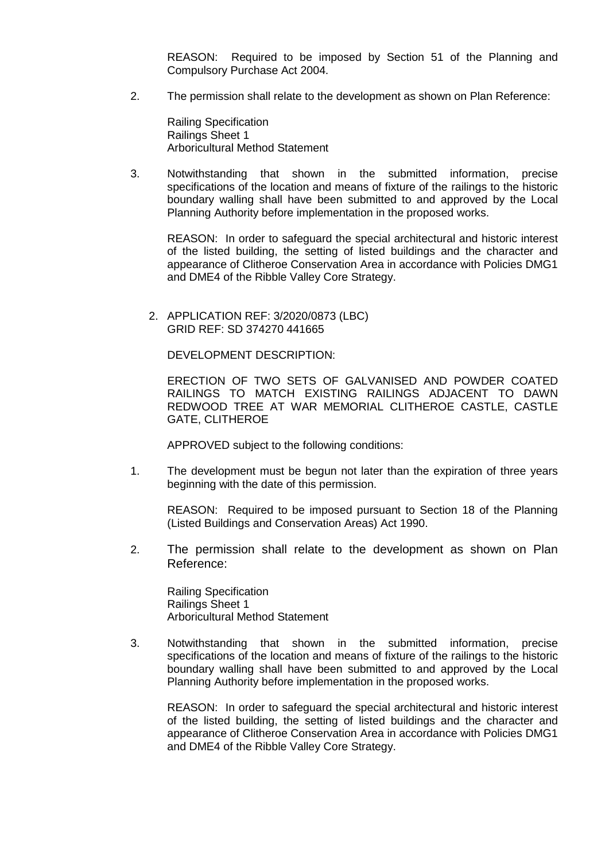REASON: Required to be imposed by Section 51 of the Planning and Compulsory Purchase Act 2004.

2. The permission shall relate to the development as shown on Plan Reference:

Railing Specification Railings Sheet 1 Arboricultural Method Statement

3. Notwithstanding that shown in the submitted information, precise specifications of the location and means of fixture of the railings to the historic boundary walling shall have been submitted to and approved by the Local Planning Authority before implementation in the proposed works.

REASON: In order to safeguard the special architectural and historic interest of the listed building, the setting of listed buildings and the character and appearance of Clitheroe Conservation Area in accordance with Policies DMG1 and DME4 of the Ribble Valley Core Strategy.

2. APPLICATION REF: 3/2020/0873 (LBC) GRID REF: SD 374270 441665

DEVELOPMENT DESCRIPTION:

ERECTION OF TWO SETS OF GALVANISED AND POWDER COATED RAILINGS TO MATCH EXISTING RAILINGS ADJACENT TO DAWN REDWOOD TREE AT WAR MEMORIAL CLITHEROE CASTLE, CASTLE GATE, CLITHEROE

APPROVED subject to the following conditions:

1. The development must be begun not later than the expiration of three years beginning with the date of this permission.

REASON: Required to be imposed pursuant to Section 18 of the Planning (Listed Buildings and Conservation Areas) Act 1990.

2. The permission shall relate to the development as shown on Plan Reference:

Railing Specification Railings Sheet 1 Arboricultural Method Statement

3. Notwithstanding that shown in the submitted information, precise specifications of the location and means of fixture of the railings to the historic boundary walling shall have been submitted to and approved by the Local Planning Authority before implementation in the proposed works.

REASON: In order to safeguard the special architectural and historic interest of the listed building, the setting of listed buildings and the character and appearance of Clitheroe Conservation Area in accordance with Policies DMG1 and DME4 of the Ribble Valley Core Strategy.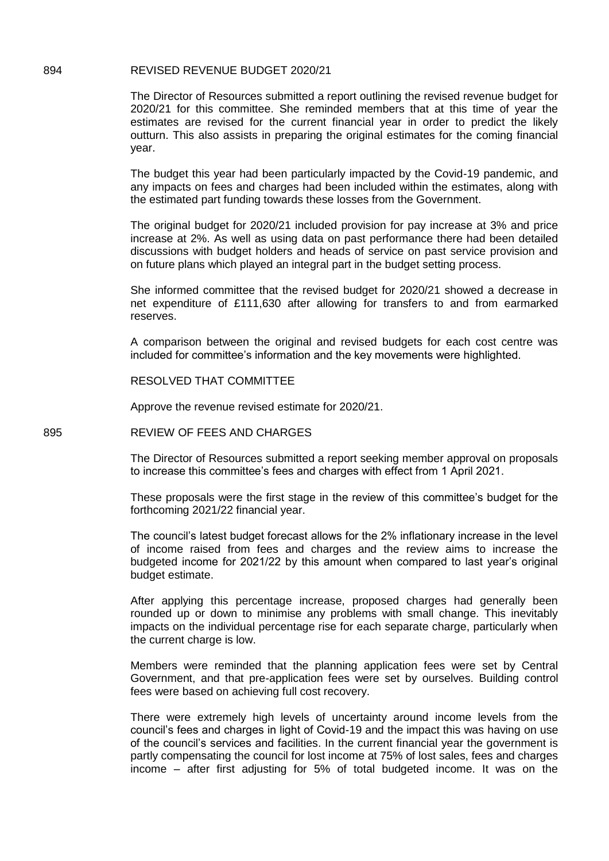#### 894 REVISED REVENUE BUDGET 2020/21

The Director of Resources submitted a report outlining the revised revenue budget for 2020/21 for this committee. She reminded members that at this time of year the estimates are revised for the current financial year in order to predict the likely outturn. This also assists in preparing the original estimates for the coming financial year.

The budget this year had been particularly impacted by the Covid-19 pandemic, and any impacts on fees and charges had been included within the estimates, along with the estimated part funding towards these losses from the Government.

The original budget for 2020/21 included provision for pay increase at 3% and price increase at 2%. As well as using data on past performance there had been detailed discussions with budget holders and heads of service on past service provision and on future plans which played an integral part in the budget setting process.

She informed committee that the revised budget for 2020/21 showed a decrease in net expenditure of £111,630 after allowing for transfers to and from earmarked reserves.

A comparison between the original and revised budgets for each cost centre was included for committee's information and the key movements were highlighted.

RESOLVED THAT COMMITTEE

Approve the revenue revised estimate for 2020/21.

### 895 REVIEW OF FEES AND CHARGES

The Director of Resources submitted a report seeking member approval on proposals to increase this committee's fees and charges with effect from 1 April 2021.

These proposals were the first stage in the review of this committee's budget for the forthcoming 2021/22 financial year.

The council's latest budget forecast allows for the 2% inflationary increase in the level of income raised from fees and charges and the review aims to increase the budgeted income for 2021/22 by this amount when compared to last year's original budget estimate.

After applying this percentage increase, proposed charges had generally been rounded up or down to minimise any problems with small change. This inevitably impacts on the individual percentage rise for each separate charge, particularly when the current charge is low.

Members were reminded that the planning application fees were set by Central Government, and that pre-application fees were set by ourselves. Building control fees were based on achieving full cost recovery.

There were extremely high levels of uncertainty around income levels from the council's fees and charges in light of Covid-19 and the impact this was having on use of the council's services and facilities. In the current financial year the government is partly compensating the council for lost income at 75% of lost sales, fees and charges income – after first adjusting for 5% of total budgeted income. It was on the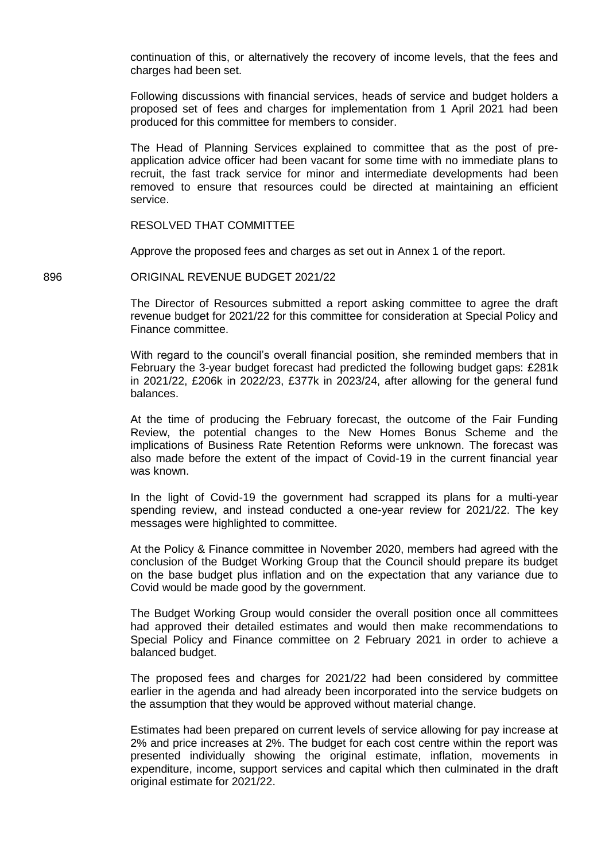continuation of this, or alternatively the recovery of income levels, that the fees and charges had been set.

Following discussions with financial services, heads of service and budget holders a proposed set of fees and charges for implementation from 1 April 2021 had been produced for this committee for members to consider.

The Head of Planning Services explained to committee that as the post of preapplication advice officer had been vacant for some time with no immediate plans to recruit, the fast track service for minor and intermediate developments had been removed to ensure that resources could be directed at maintaining an efficient service.

RESOLVED THAT COMMITTEE

Approve the proposed fees and charges as set out in Annex 1 of the report.

896 ORIGINAL REVENUE BUDGET 2021/22

The Director of Resources submitted a report asking committee to agree the draft revenue budget for 2021/22 for this committee for consideration at Special Policy and Finance committee.

With regard to the council's overall financial position, she reminded members that in February the 3-year budget forecast had predicted the following budget gaps: £281k in 2021/22, £206k in 2022/23, £377k in 2023/24, after allowing for the general fund balances.

At the time of producing the February forecast, the outcome of the Fair Funding Review, the potential changes to the New Homes Bonus Scheme and the implications of Business Rate Retention Reforms were unknown. The forecast was also made before the extent of the impact of Covid-19 in the current financial year was known.

In the light of Covid-19 the government had scrapped its plans for a multi-year spending review, and instead conducted a one-year review for 2021/22. The key messages were highlighted to committee.

At the Policy & Finance committee in November 2020, members had agreed with the conclusion of the Budget Working Group that the Council should prepare its budget on the base budget plus inflation and on the expectation that any variance due to Covid would be made good by the government.

The Budget Working Group would consider the overall position once all committees had approved their detailed estimates and would then make recommendations to Special Policy and Finance committee on 2 February 2021 in order to achieve a balanced budget.

The proposed fees and charges for 2021/22 had been considered by committee earlier in the agenda and had already been incorporated into the service budgets on the assumption that they would be approved without material change.

Estimates had been prepared on current levels of service allowing for pay increase at 2% and price increases at 2%. The budget for each cost centre within the report was presented individually showing the original estimate, inflation, movements in expenditure, income, support services and capital which then culminated in the draft original estimate for 2021/22.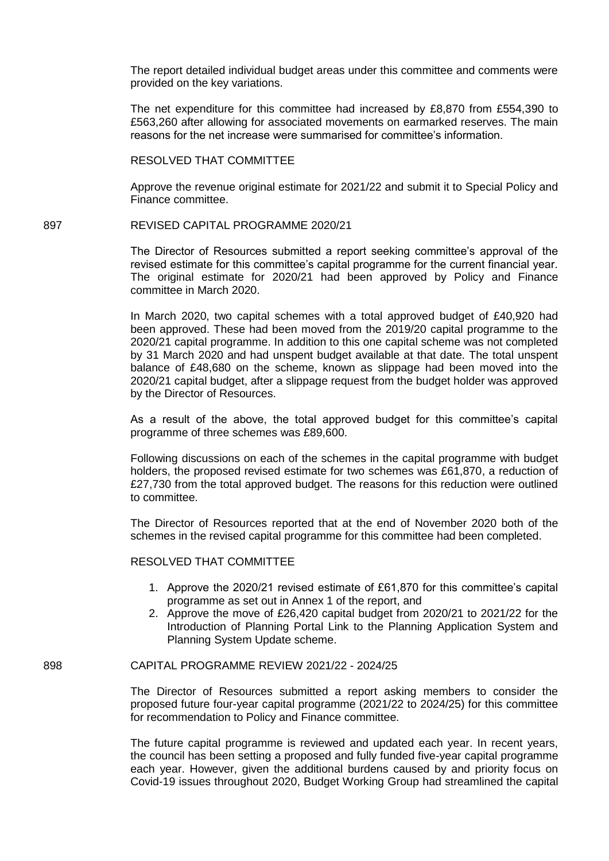The report detailed individual budget areas under this committee and comments were provided on the key variations.

The net expenditure for this committee had increased by £8,870 from £554,390 to £563,260 after allowing for associated movements on earmarked reserves. The main reasons for the net increase were summarised for committee's information.

RESOLVED THAT COMMITTEE

Approve the revenue original estimate for 2021/22 and submit it to Special Policy and Finance committee.

897 REVISED CAPITAL PROGRAMME 2020/21

The Director of Resources submitted a report seeking committee's approval of the revised estimate for this committee's capital programme for the current financial year. The original estimate for 2020/21 had been approved by Policy and Finance committee in March 2020.

In March 2020, two capital schemes with a total approved budget of £40,920 had been approved. These had been moved from the 2019/20 capital programme to the 2020/21 capital programme. In addition to this one capital scheme was not completed by 31 March 2020 and had unspent budget available at that date. The total unspent balance of £48,680 on the scheme, known as slippage had been moved into the 2020/21 capital budget, after a slippage request from the budget holder was approved by the Director of Resources.

As a result of the above, the total approved budget for this committee's capital programme of three schemes was £89,600.

Following discussions on each of the schemes in the capital programme with budget holders, the proposed revised estimate for two schemes was £61,870, a reduction of £27,730 from the total approved budget. The reasons for this reduction were outlined to committee.

The Director of Resources reported that at the end of November 2020 both of the schemes in the revised capital programme for this committee had been completed.

RESOLVED THAT COMMITTEE

- 1. Approve the 2020/21 revised estimate of £61,870 for this committee's capital programme as set out in Annex 1 of the report, and
- 2. Approve the move of £26,420 capital budget from 2020/21 to 2021/22 for the Introduction of Planning Portal Link to the Planning Application System and Planning System Update scheme.

## 898 CAPITAL PROGRAMME REVIEW 2021/22 - 2024/25

The Director of Resources submitted a report asking members to consider the proposed future four-year capital programme (2021/22 to 2024/25) for this committee for recommendation to Policy and Finance committee.

The future capital programme is reviewed and updated each year. In recent years, the council has been setting a proposed and fully funded five-year capital programme each year. However, given the additional burdens caused by and priority focus on Covid-19 issues throughout 2020, Budget Working Group had streamlined the capital